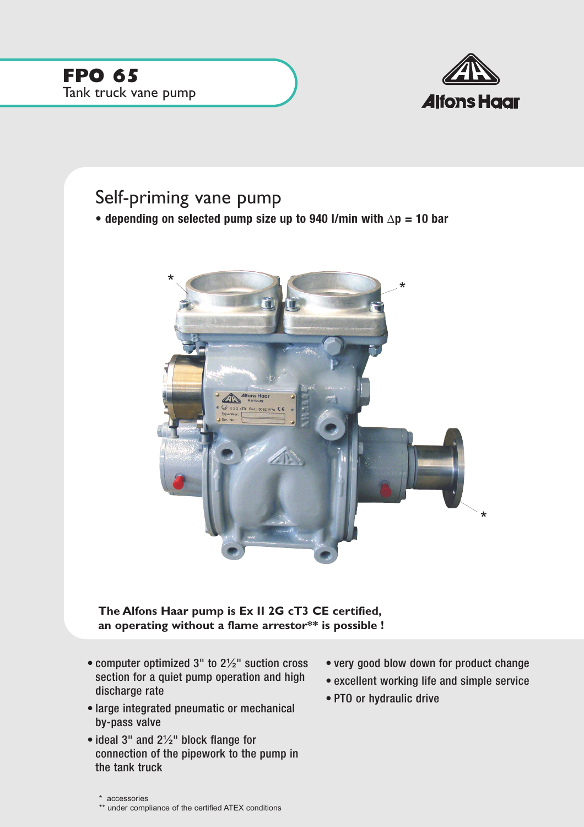

## Self-priming vane pump

**• depending on selected pump size up to 940 l/min with** ∆**p = 10 bar**



**The Alfons Haar pump is Ex II 2G cT3 CE certified, an operating without a flame arrestor\*\* is possible !**

- computer optimized 3" to 2½" suction cross section for a quiet pump operation and high discharge rate
- large integrated pneumatic or mechanical by-pass valve
- ideal 3" and 2½" block flange for connection of the pipework to the pump in the tank truck
- very good blow down for product change
- excellent working life and simple service
- PTO or hydraulic drive